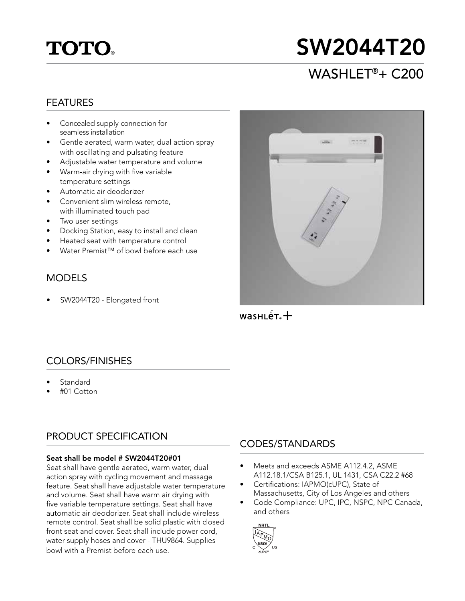## **TOTO**

# SW2044T20

## WASHLET®+ C200

#### FEATURES

- Concealed supply connection for seamless installation
- Gentle aerated, warm water, dual action spray with oscillating and pulsating feature
- Adjustable water temperature and volume
- Warm-air drying with five variable temperature settings
- Automatic air deodorizer
- Convenient slim wireless remote, with illuminated touch pad
- Two user settings
- Docking Station, easy to install and clean
- Heated seat with temperature control
- Water Premist™ of bowl before each use

#### MODELS

SW2044T20 - Elongated front



 $wasHLE$ <sub> $+$ </sub>

#### COLORS/FINISHES

- Standard
- #01 Cotton

#### PRODUCT SPECIFICATION

#### Seat shall be model # SW2044T20#01

Seat shall have gentle aerated, warm water, dual action spray with cycling movement and massage feature. Seat shall have adjustable water temperature and volume. Seat shall have warm air drying with five variable temperature settings. Seat shall have automatic air deodorizer. Seat shall include wireless remote control. Seat shall be solid plastic with closed front seat and cover. Seat shall include power cord, water supply hoses and cover - THU9864. Supplies bowl with a Premist before each use.

#### CODES/STANDARDS

- Meets and exceeds ASME A112.4.2, ASME A112.18.1/CSA B125.1, UL 1431, CSA C22.2 #68
- Certifications: IAPMO(cUPC), State of Massachusetts, City of Los Angeles and others
- Code Compliance: UPC, IPC, NSPC, NPC Canada, and others